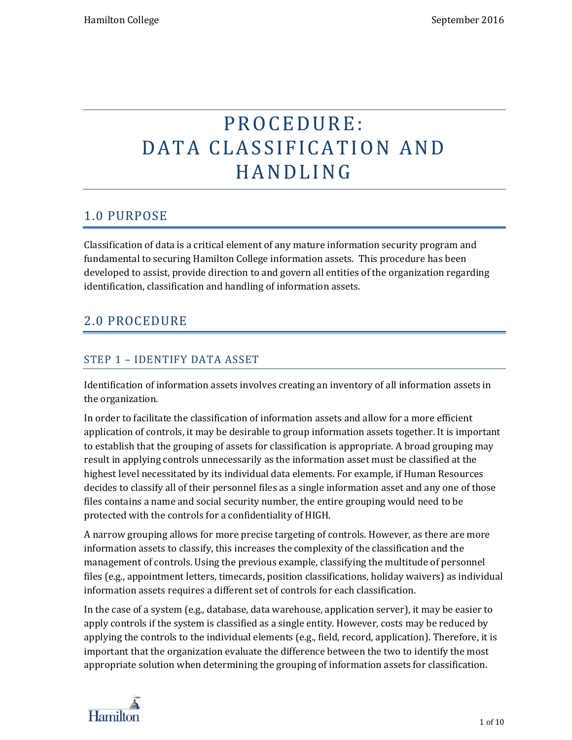# P R O C E D U R E: DATA CLASSIFICATION AND H A N D L I N G

# 1.0 PURPOSE

Classification of data is a critical element of any mature information security program and fundamental to securing Hamilton College information assets. This procedure has been developed to assist, provide direction to and govern all entities of the organization regarding identification, classification and handling of information assets.

# 2.0 PROCEDURE

### STEP 1 – IDENTIFY DATA ASSET

Identification of information assets involves creating an inventory of all information assets in the organization.

In order to facilitate the classification of information assets and allow for a more efficient application of controls, it may be desirable to group information assets together. It is important to establish that the grouping of assets for classification is appropriate. A broad grouping may result in applying controls unnecessarily as the information asset must be classified at the highest level necessitated by its individual data elements. For example, if Human Resources decides to classify all of their personnel files as a single information asset and any one of those files contains a name and social security number, the entire grouping would need to be protected with the controls for a confidentiality of HIGH.

A narrow grouping allows for more precise targeting of controls. However, as there are more information assets to classify, this increases the complexity of the classification and the management of controls. Using the previous example, classifying the multitude of personnel files (e.g., appointment letters, timecards, position classifications, holiday waivers) as individual information assets requires a different set of controls for each classification.

In the case of a system (e.g., database, data warehouse, application server), it may be easier to apply controls if the system is classified as a single entity. However, costs may be reduced by applying the controls to the individual elements (e.g., field, record, application). Therefore, it is important that the organization evaluate the difference between the two to identify the most appropriate solution when determining the grouping of information assets for classification.

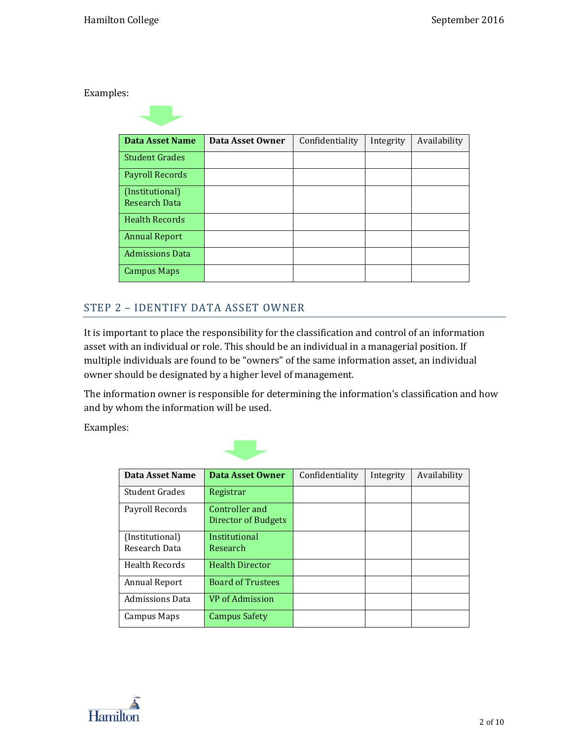Examples:

| Data Asset Name                         | Data Asset Owner | Confidentiality | Integrity | Availability |
|-----------------------------------------|------------------|-----------------|-----------|--------------|
| <b>Student Grades</b>                   |                  |                 |           |              |
| <b>Payroll Records</b>                  |                  |                 |           |              |
| (Institutional)<br><b>Research Data</b> |                  |                 |           |              |
| <b>Health Records</b>                   |                  |                 |           |              |
| <b>Annual Report</b>                    |                  |                 |           |              |
| <b>Admissions Data</b>                  |                  |                 |           |              |
| <b>Campus Maps</b>                      |                  |                 |           |              |

#### STEP 2 – IDENTIFY DATA ASSET OWNER

It is important to place the responsibility for the classification and control of an information asset with an individual or role. This should be an individual in a managerial position. If multiple individuals are found to be "owners" of the same information asset, an individual owner should be designated by a higher level of management.

The information owner is responsible for determining the information's classification and how and by whom the information will be used.

Examples:



| <b>Data Asset Name</b>           | <b>Data Asset Owner</b>               | Confidentiality | Integrity | Availability |
|----------------------------------|---------------------------------------|-----------------|-----------|--------------|
| <b>Student Grades</b>            | Registrar                             |                 |           |              |
| Payroll Records                  | Controller and<br>Director of Budgets |                 |           |              |
| (Institutional)<br>Research Data | Institutional<br>Research             |                 |           |              |
| <b>Health Records</b>            | <b>Health Director</b>                |                 |           |              |
| Annual Report                    | <b>Board of Trustees</b>              |                 |           |              |
| <b>Admissions Data</b>           | VP of Admission                       |                 |           |              |
| Campus Maps                      | <b>Campus Safety</b>                  |                 |           |              |

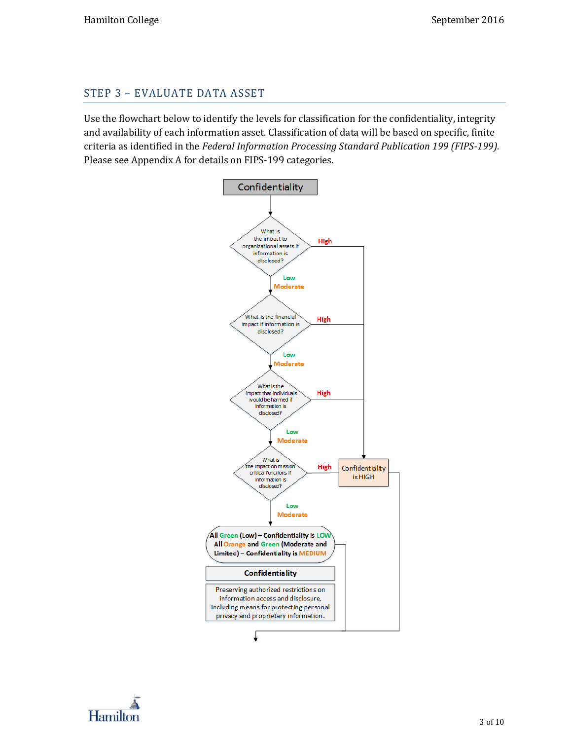#### STEP 3 – EVALUATE DATA ASSET

Use the flowchart below to identify the levels for classification for the confidentiality, integrity and availability of each information asset. Classification of data will be based on specific, finite criteria as identified in the *Federal Information Processing Standard Publication 199 (FIPS-199).* Please see Appendix A for details on FIPS-199 categories.

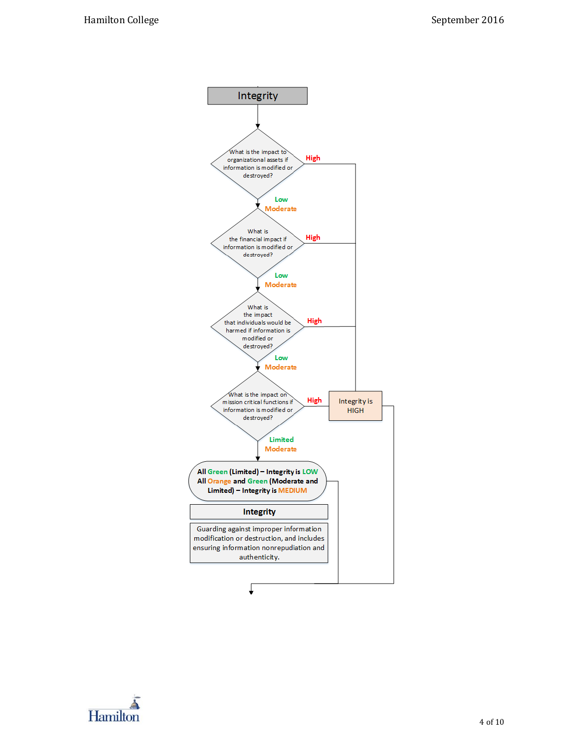

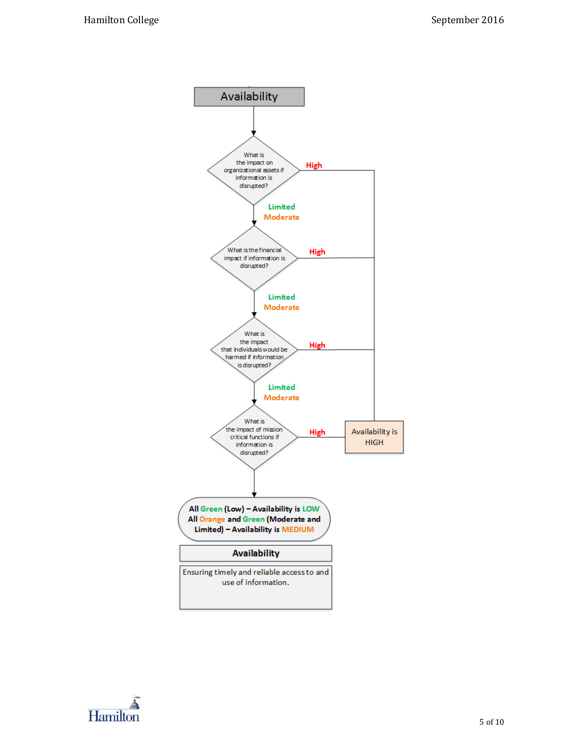

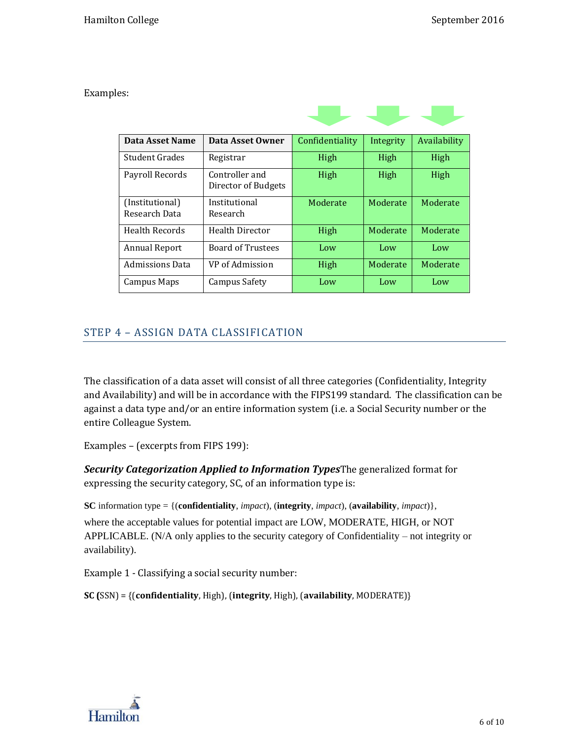Examples:

| Data Asset Name                  | Data Asset Owner                      | Confidentiality | Integrity | Availability |
|----------------------------------|---------------------------------------|-----------------|-----------|--------------|
| Student Grades                   | Registrar                             | High            | High      | High         |
| Payroll Records                  | Controller and<br>Director of Budgets | High            | High      | High         |
| (Institutional)<br>Research Data | Institutional<br>Research             | Moderate        | Moderate  | Moderate     |
| Health Records                   | Health Director                       | High            | Moderate  | Moderate     |
| <b>Annual Report</b>             | <b>Board of Trustees</b>              | Low             | Low       | Low          |
| <b>Admissions Data</b>           | VP of Admission                       | High            | Moderate  | Moderate     |
| Campus Maps                      | Campus Safety                         | Low             | Low       | Low          |

## STEP 4 – ASSIGN DATA CLASSIFICATION

The classification of a data asset will consist of all three categories (Confidentiality, Integrity and Availability) and will be in accordance with the FIPS199 standard. The classification can be against a data type and/or an entire information system (i.e. a Social Security number or the entire Colleague System.

Examples – (excerpts from FIPS 199):

*Security Categorization Applied to Information Types*The generalized format for expressing the security category, SC, of an information type is:

**SC** information type = {(**confidentiality**, *impact*), (**integrity**, *impact*), (**availability**, *impact*)},

where the acceptable values for potential impact are LOW, MODERATE, HIGH, or NOT APPLICABLE. (N/A only applies to the security category of Confidentiality – not integrity or availability).

Example 1 - Classifying a social security number:

**SC (**SSN) = {(**confidentiality**, High), (**integrity**, High), (**availability**, MODERATE)}

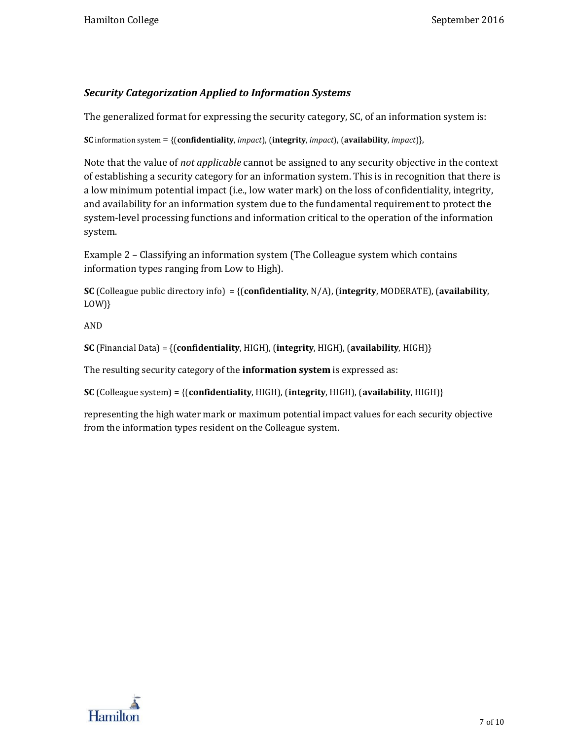#### *Security Categorization Applied to Information Systems*

The generalized format for expressing the security category, SC, of an information system is:

**SC** information system = {(**confidentiality**, *impact*), (**integrity**, *impact*), (**availability**, *impact*)},

Note that the value of *not applicable* cannot be assigned to any security objective in the context of establishing a security category for an information system. This is in recognition that there is a low minimum potential impact (i.e., low water mark) on the loss of confidentiality, integrity, and availability for an information system due to the fundamental requirement to protect the system-level processing functions and information critical to the operation of the information system.

Example 2 – Classifying an information system (The Colleague system which contains information types ranging from Low to High).

**SC** (Colleague public directory info) = {(**confidentiality**, N/A), (**integrity**, MODERATE), (**availability**, LOW)}

AND

**SC** (Financial Data) = {(**confidentiality**, HIGH), (**integrity**, HIGH), (**availability**, HIGH)}

The resulting security category of the **information system** is expressed as:

**SC** (Colleague system) = {(**confidentiality**, HIGH), (**integrity**, HIGH), (**availability**, HIGH)}

representing the high water mark or maximum potential impact values for each security objective from the information types resident on the Colleague system.

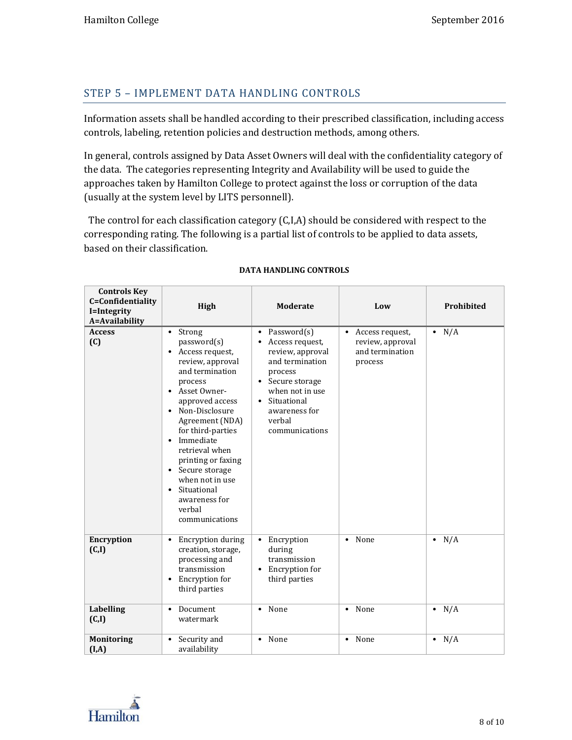### STEP 5 – IMPLEMENT DATA HANDLING CONTROLS

Information assets shall be handled according to their prescribed classification, including access controls, labeling, retention policies and destruction methods, among others.

In general, controls assigned by Data Asset Owners will deal with the confidentiality category of the data. The categories representing Integrity and Availability will be used to guide the approaches taken by Hamilton College to protect against the loss or corruption of the data (usually at the system level by LITS personnell).

 The control for each classification category (C,I,A) should be considered with respect to the corresponding rating. The following is a partial list of controls to be applied to data assets, based on their classification.

| <b>Controls Key</b><br>C=Confidentiality<br>I=Integrity<br>A=Availability | High                                                                                                                                                                                                                                                                                                                                                       | <b>Moderate</b>                                                                                                                                                                                             | Low                                                                            | Prohibited    |
|---------------------------------------------------------------------------|------------------------------------------------------------------------------------------------------------------------------------------------------------------------------------------------------------------------------------------------------------------------------------------------------------------------------------------------------------|-------------------------------------------------------------------------------------------------------------------------------------------------------------------------------------------------------------|--------------------------------------------------------------------------------|---------------|
| <b>Access</b><br>(C)                                                      | Strong<br>$\bullet$<br>password(s)<br>Access request,<br>review, approval<br>and termination<br>process<br>Asset Owner-<br>approved access<br>Non-Disclosure<br>Agreement (NDA)<br>for third-parties<br>Immediate<br>retrieval when<br>printing or faxing<br>Secure storage<br>when not in use<br>Situational<br>awareness for<br>verbal<br>communications | Password(s)<br>$\bullet$<br>Access request,<br>review, approval<br>and termination<br>process<br>Secure storage<br>$\bullet$<br>when not in use<br>Situational<br>awareness for<br>verbal<br>communications | Access request,<br>$\bullet$<br>review, approval<br>and termination<br>process | $\bullet$ N/A |
| <b>Encryption</b><br>(C,I)                                                | <b>Encryption during</b><br>$\bullet$<br>creation, storage,<br>processing and<br>transmission<br>Encryption for<br>third parties                                                                                                                                                                                                                           | Encryption<br>$\bullet$<br>during<br>transmission<br>Encryption for<br>third parties                                                                                                                        | None<br>$\bullet$                                                              | $\bullet$ N/A |
| <b>Labelling</b><br>(C,I)                                                 | Document<br>$\bullet$<br>watermark                                                                                                                                                                                                                                                                                                                         | None<br>$\bullet$                                                                                                                                                                                           | None<br>$\bullet$                                                              | $\bullet$ N/A |
| <b>Monitoring</b><br>(I, A)                                               | Security and<br>availability                                                                                                                                                                                                                                                                                                                               | None<br>$\bullet$                                                                                                                                                                                           | None<br>$\bullet$                                                              | $\bullet$ N/A |

#### **DATA HANDLING CONTROLS**

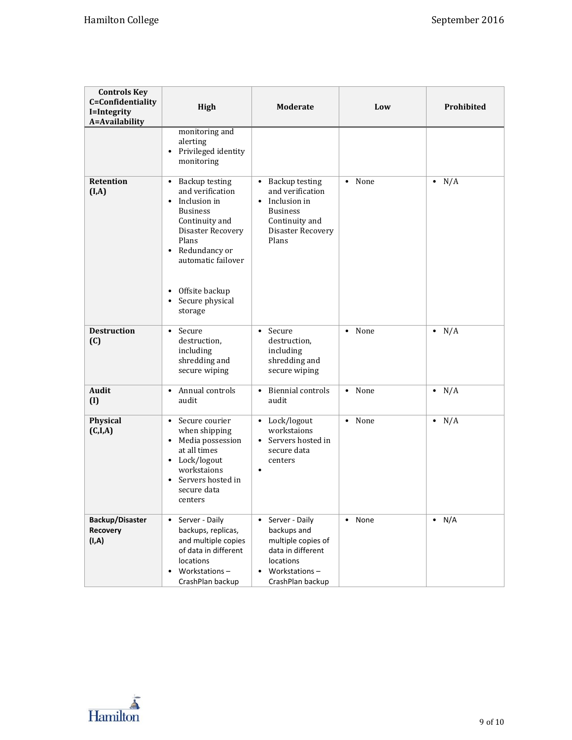| <b>Controls Key</b><br>C=Confidentiality<br>I=Integrity<br>A=Availability | High                                                                                                                                                                                                                                                       | <b>Moderate</b>                                                                                                                                        | Low               | Prohibited    |
|---------------------------------------------------------------------------|------------------------------------------------------------------------------------------------------------------------------------------------------------------------------------------------------------------------------------------------------------|--------------------------------------------------------------------------------------------------------------------------------------------------------|-------------------|---------------|
|                                                                           | monitoring and<br>alerting<br>Privileged identity<br>monitoring                                                                                                                                                                                            |                                                                                                                                                        |                   |               |
| <b>Retention</b><br>(I, A)                                                | <b>Backup testing</b><br>$\bullet$<br>and verification<br>Inclusion in<br>$\bullet$<br><b>Business</b><br>Continuity and<br>Disaster Recovery<br>Plans<br>Redundancy or<br>automatic failover<br>Offsite backup<br>$\bullet$<br>Secure physical<br>storage | <b>Backup testing</b><br>$\bullet$<br>and verification<br>Inclusion in<br>$\bullet$<br><b>Business</b><br>Continuity and<br>Disaster Recovery<br>Plans | • None            | $\bullet$ N/A |
| <b>Destruction</b><br>(C)                                                 | Secure<br>$\bullet$<br>destruction,<br>including<br>shredding and<br>secure wiping                                                                                                                                                                         | Secure<br>$\bullet$<br>destruction,<br>including<br>shredding and<br>secure wiping                                                                     | • None            | $\bullet$ N/A |
| <b>Audit</b><br>(I)                                                       | Annual controls<br>$\bullet$<br>audit                                                                                                                                                                                                                      | <b>Biennial controls</b><br>$\bullet$<br>audit                                                                                                         | • None            | $\bullet$ N/A |
| Physical<br>(C,I,A)                                                       | Secure courier<br>$\bullet$<br>when shipping<br>• Media possession<br>at all times<br>• Lock/logout<br>workstaions<br>Servers hosted in<br>$\bullet$<br>secure data<br>centers                                                                             | • Lock/logout<br>workstaions<br>Servers hosted in<br>$\bullet$<br>secure data<br>centers<br>٠                                                          | None<br>$\bullet$ | $\bullet$ N/A |
| <b>Backup/Disaster</b><br>Recovery<br>(I, A)                              | Server - Daily<br>$\bullet$<br>backups, replicas,<br>and multiple copies<br>of data in different<br>locations<br>Workstations-<br>CrashPlan backup                                                                                                         | Server - Daily<br>$\bullet$<br>backups and<br>multiple copies of<br>data in different<br><b>locations</b><br>Workstations-<br>CrashPlan backup         | None<br>$\bullet$ | $\bullet$ N/A |